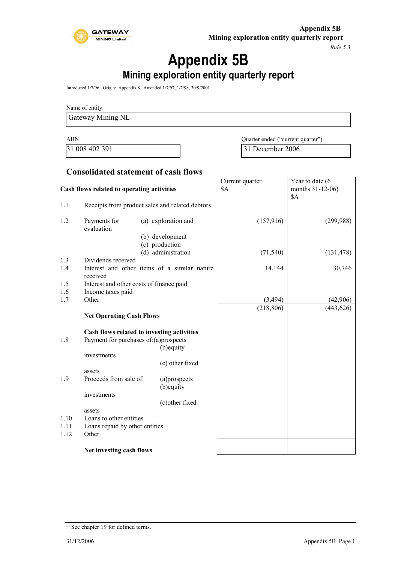

*Rule 5.3*

# **Appendix 5B**

**Mining exploration entity quarterly report**

Introduced 1/7/96. Origin: Appendix 8. Amended 1/7/97, 1/7/98, 30/9/2001.

Name of entity

Gateway Mining NL

ABN Quarter ended ("current quarter") 31 008 402 391 31 December 2006

### **Consolidated statement of cash flows**

| Cash flows related to operating activities |                                                                                     | Current quarter<br><b>\$A</b>                   | Year to date (6<br>months 31-12-06)<br>\$A |            |
|--------------------------------------------|-------------------------------------------------------------------------------------|-------------------------------------------------|--------------------------------------------|------------|
| 1.1                                        |                                                                                     | Receipts from product sales and related debtors |                                            |            |
| 1.2                                        | Payments for<br>evaluation                                                          | (a) exploration and<br>(b) development          | (157, 916)                                 | (299,988)  |
|                                            |                                                                                     | (c) production<br>(d) administration            | (71, 540)                                  | (131, 478) |
| 1.3<br>1.4                                 | Dividends received<br>received                                                      | Interest and other items of a similar nature    | 14,144                                     | 30,746     |
| 1.5<br>1.6                                 | Interest and other costs of finance paid                                            |                                                 |                                            |            |
| 1.7                                        | Income taxes paid<br>Other                                                          |                                                 | (3, 494)                                   | (42,906)   |
|                                            |                                                                                     |                                                 | (218, 806)                                 | (443, 626) |
|                                            | <b>Net Operating Cash Flows</b>                                                     |                                                 |                                            |            |
| 1.8                                        | Cash flows related to investing activities<br>Payment for purchases of:(a)prospects | (b) equity                                      |                                            |            |
|                                            | investments                                                                         | (c) other fixed                                 |                                            |            |
| 1.9                                        | assets<br>Proceeds from sale of:                                                    | (a)prospects<br>(b) equity                      |                                            |            |
|                                            | investments                                                                         | (c) other fixed                                 |                                            |            |
| 1.10<br>1.11                               | assets<br>Loans to other entities<br>Loans repaid by other entities                 |                                                 |                                            |            |
| 1.12                                       | Other                                                                               |                                                 |                                            |            |
|                                            | Net investing cash flows                                                            |                                                 |                                            |            |

<sup>+</sup> See chapter 19 for defined terms.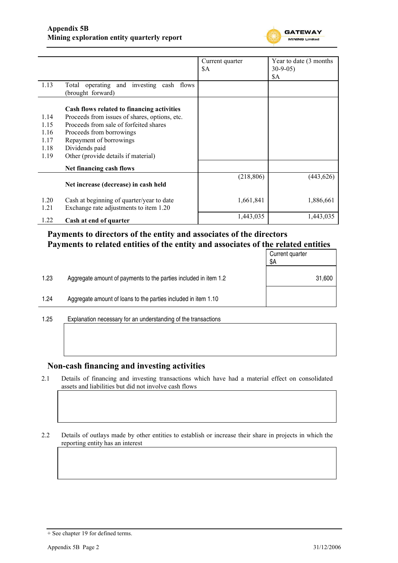

|              |                                                                                         | Current quarter | Year to date (3 months) |
|--------------|-----------------------------------------------------------------------------------------|-----------------|-------------------------|
|              |                                                                                         | \$A             | $30-9-05$               |
|              |                                                                                         |                 | \$A                     |
| 1.13         | Total operating and investing cash flows<br>(brought forward)                           |                 |                         |
|              | Cash flows related to financing activities                                              |                 |                         |
| 1.14<br>1.15 | Proceeds from issues of shares, options, etc.<br>Proceeds from sale of forfeited shares |                 |                         |
|              |                                                                                         |                 |                         |
| 1.16         | Proceeds from borrowings                                                                |                 |                         |
| 1.17         | Repayment of borrowings                                                                 |                 |                         |
| 1.18         | Dividends paid                                                                          |                 |                         |
| 1.19         | Other (provide details if material)                                                     |                 |                         |
|              | Net financing cash flows                                                                |                 |                         |
|              | Net increase (decrease) in cash held                                                    | (218, 806)      | (443, 626)              |
| 1.20<br>1.21 | Cash at beginning of quarter/year to date<br>Exchange rate adjustments to item 1.20     | 1,661,841       | 1,886,661               |
| 1.22         | Cash at end of quarter                                                                  | 1,443,035       | 1,443,035               |

### **Payments to directors of the entity and associates of the directors Payments to related entities of the entity and associates of the related entities**

|      |                                                                  | Current quarter<br>\$A |
|------|------------------------------------------------------------------|------------------------|
| 1.23 | Aggregate amount of payments to the parties included in item 1.2 | 31,600                 |
| 1.24 | Aggregate amount of loans to the parties included in item 1.10   |                        |
|      |                                                                  |                        |

1.25 Explanation necessary for an understanding of the transactions

### **Non-cash financing and investing activities**

- 2.1 Details of financing and investing transactions which have had a material effect on consolidated assets and liabilities but did not involve cash flows
- 2.2 Details of outlays made by other entities to establish or increase their share in projects in which the reporting entity has an interest

<sup>+</sup> See chapter 19 for defined terms.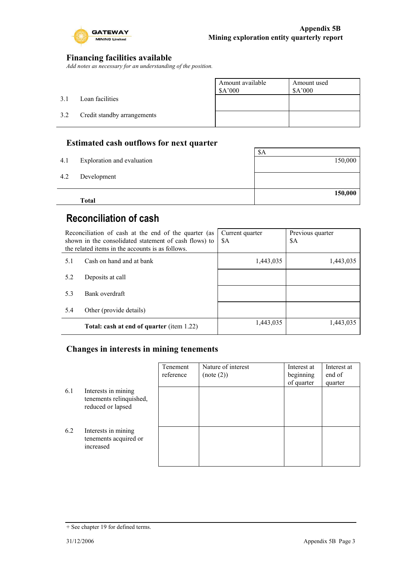

٦

### **Financing facilities available**

*Add notes as necessary for an understanding of the position.*

|     |                             | Amount available<br>\$A'000 | Amount used<br>\$A'000 |
|-----|-----------------------------|-----------------------------|------------------------|
| 3.1 | Loan facilities             |                             |                        |
| 3.2 | Credit standby arrangements |                             |                        |
|     |                             |                             |                        |

### **Estimated cash outflows for next quarter**

|     | <b>Total</b>               | 150,000 |
|-----|----------------------------|---------|
| 4.2 | Development                |         |
| 4.1 | Exploration and evaluation | 150,000 |
|     |                            | \$A     |

## **Reconciliation of cash**

| Reconciliation of cash at the end of the quarter (as<br>shown in the consolidated statement of cash flows) to<br>the related items in the accounts is as follows. |                                                  | Current quarter<br>\$A | Previous quarter<br>\$A |
|-------------------------------------------------------------------------------------------------------------------------------------------------------------------|--------------------------------------------------|------------------------|-------------------------|
| 5.1                                                                                                                                                               | Cash on hand and at bank                         | 1,443,035              | 1,443,035               |
| 5.2                                                                                                                                                               | Deposits at call                                 |                        |                         |
| 5.3                                                                                                                                                               | Bank overdraft                                   |                        |                         |
| 5.4                                                                                                                                                               | Other (provide details)                          |                        |                         |
|                                                                                                                                                                   | <b>Total: cash at end of quarter (item 1.22)</b> | 1,443,035              | 1,443,035               |

### **Changes in interests in mining tenements**

|     |                                                                     | Tenement<br>reference | Nature of interest<br>(note (2)) | Interest at<br>beginning<br>of quarter | Interest at<br>end of<br>quarter |
|-----|---------------------------------------------------------------------|-----------------------|----------------------------------|----------------------------------------|----------------------------------|
| 6.1 | Interests in mining<br>tenements relinquished,<br>reduced or lapsed |                       |                                  |                                        |                                  |
| 6.2 | Interests in mining<br>tenements acquired or<br>increased           |                       |                                  |                                        |                                  |

<sup>+</sup> See chapter 19 for defined terms.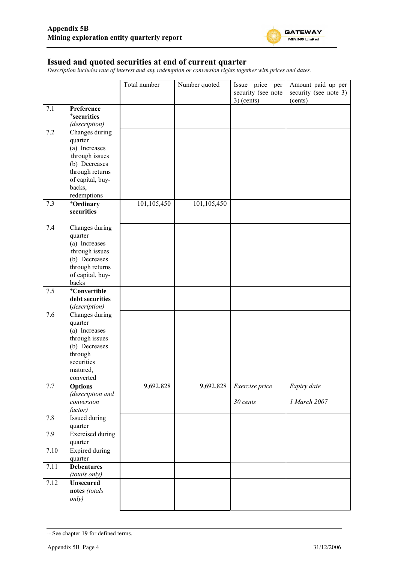

#### **Issued and quoted securities at end of current quarter**

*Description includes rate of interest and any redemption or conversion rights together with prices and dates.*

|      |                                                                                                                                               | Total number | Number quoted | Issue price per<br>security (see note<br>$3)$ (cents) | Amount paid up per<br>security (see note 3)<br>(cents) |
|------|-----------------------------------------------------------------------------------------------------------------------------------------------|--------------|---------------|-------------------------------------------------------|--------------------------------------------------------|
| 7.1  | Preference<br><sup>+</sup> securities<br>(description)                                                                                        |              |               |                                                       |                                                        |
| 7.2  | Changes during<br>quarter<br>(a) Increases<br>through issues<br>(b) Decreases<br>through returns<br>of capital, buy-<br>backs,<br>redemptions |              |               |                                                       |                                                        |
| 7.3  | +Ordinary<br>securities                                                                                                                       | 101,105,450  | 101, 105, 450 |                                                       |                                                        |
| 7.4  | Changes during<br>quarter<br>(a) Increases<br>through issues<br>(b) Decreases<br>through returns<br>of capital, buy-<br>backs                 |              |               |                                                       |                                                        |
| 7.5  | +Convertible<br>debt securities<br>(description)                                                                                              |              |               |                                                       |                                                        |
| 7.6  | Changes during<br>quarter<br>(a) Increases<br>through issues<br>(b) Decreases<br>through<br>securities<br>matured,<br>converted               |              |               |                                                       |                                                        |
| 7.7  | <b>Options</b><br>(description and                                                                                                            | 9,692,828    | 9,692,828     | Exercise price                                        | Expiry date                                            |
|      | conversion<br>factor)                                                                                                                         |              |               | 30 cents                                              | 1 March 2007                                           |
| 7.8  | Issued during<br>quarter                                                                                                                      |              |               |                                                       |                                                        |
| 7.9  | <b>Exercised</b> during<br>quarter                                                                                                            |              |               |                                                       |                                                        |
| 7.10 | <b>Expired during</b><br>quarter                                                                                                              |              |               |                                                       |                                                        |
| 7.11 | <b>Debentures</b><br>(totals only)                                                                                                            |              |               |                                                       |                                                        |
| 7.12 | <b>Unsecured</b><br>notes (totals<br>only)                                                                                                    |              |               |                                                       |                                                        |

<sup>+</sup> See chapter 19 for defined terms.